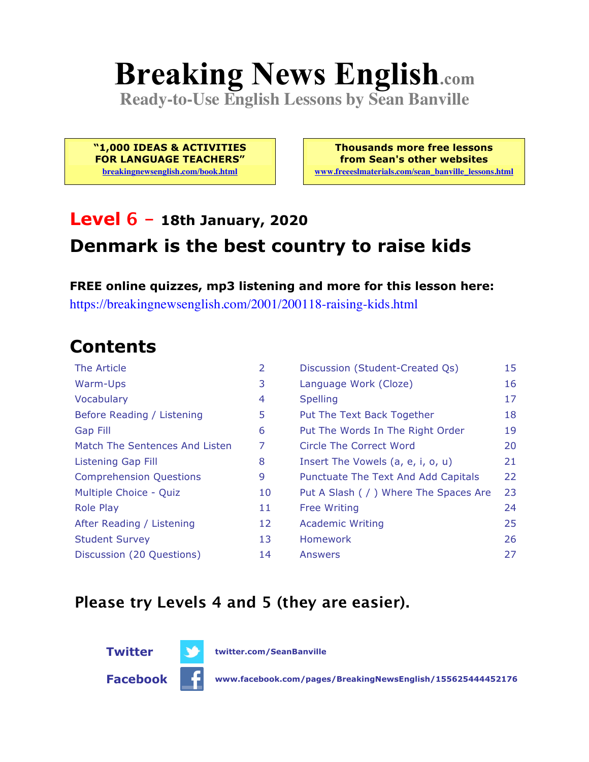# **Breaking News English.com**

**Ready-to-Use English Lessons by Sean Banville**

**"1,000 IDEAS & ACTIVITIES FOR LANGUAGE TEACHERS" breakingnewsenglish.com/book.html**

**Thousands more free lessons from Sean's other websites www.freeeslmaterials.com/sean\_banville\_lessons.html**

### **Level 6 - 18th January, 2020 Denmark is the best country to raise kids**

**FREE online quizzes, mp3 listening and more for this lesson here:** https://breakingnewsenglish.com/2001/200118-raising-kids.html

#### **Contents**

| The Article                    | 2  | Discussion (Student-Created Qs)        | 15 |
|--------------------------------|----|----------------------------------------|----|
| Warm-Ups                       | 3  | Language Work (Cloze)                  | 16 |
| Vocabulary                     | 4  | <b>Spelling</b>                        | 17 |
| Before Reading / Listening     | 5  | Put The Text Back Together             | 18 |
| <b>Gap Fill</b>                | 6  | Put The Words In The Right Order       | 19 |
| Match The Sentences And Listen | 7  | Circle The Correct Word                | 20 |
| Listening Gap Fill             | 8  | Insert The Vowels (a, e, i, o, u)      | 21 |
| <b>Comprehension Questions</b> | 9  | Punctuate The Text And Add Capitals    | 22 |
| Multiple Choice - Quiz         | 10 | Put A Slash ( / ) Where The Spaces Are | 23 |
| <b>Role Play</b>               | 11 | <b>Free Writing</b>                    | 24 |
| After Reading / Listening      | 12 | <b>Academic Writing</b>                | 25 |
| <b>Student Survey</b>          | 13 | Homework                               | 26 |
| Discussion (20 Questions)      | 14 | Answers                                | 27 |

#### **Please try Levels 4 and 5 (they are easier).**



**Facebook www.facebook.com/pages/BreakingNewsEnglish/155625444452176**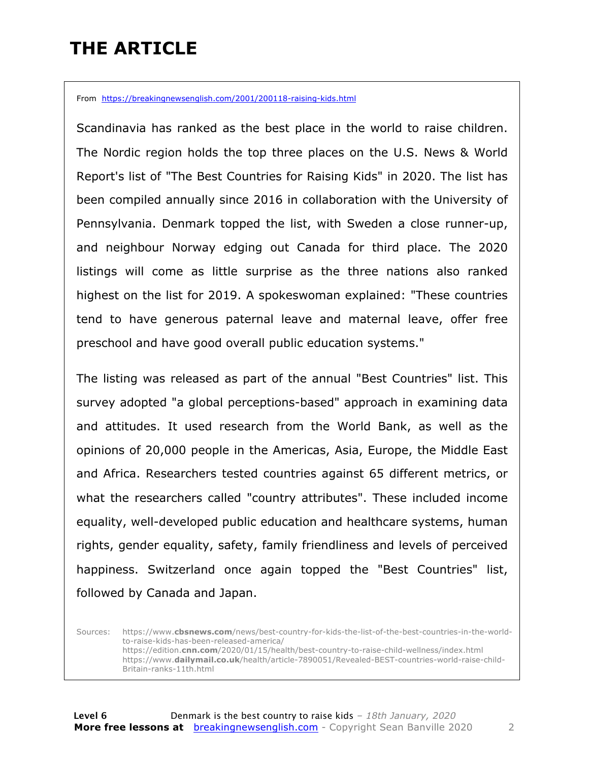### **THE ARTICLE**

From https://breakingnewsenglish.com/2001/200118-raising-kids.html

Scandinavia has ranked as the best place in the world to raise children. The Nordic region holds the top three places on the U.S. News & World Report's list of "The Best Countries for Raising Kids" in 2020. The list has been compiled annually since 2016 in collaboration with the University of Pennsylvania. Denmark topped the list, with Sweden a close runner-up, and neighbour Norway edging out Canada for third place. The 2020 listings will come as little surprise as the three nations also ranked highest on the list for 2019. A spokeswoman explained: "These countries tend to have generous paternal leave and maternal leave, offer free preschool and have good overall public education systems."

The listing was released as part of the annual "Best Countries" list. This survey adopted "a global perceptions-based" approach in examining data and attitudes. It used research from the World Bank, as well as the opinions of 20,000 people in the Americas, Asia, Europe, the Middle East and Africa. Researchers tested countries against 65 different metrics, or what the researchers called "country attributes". These included income equality, well-developed public education and healthcare systems, human rights, gender equality, safety, family friendliness and levels of perceived happiness. Switzerland once again topped the "Best Countries" list, followed by Canada and Japan.

Sources: https://www.**cbsnews.com**/news/best-country-for-kids-the-list-of-the-best-countries-in-the-worldto-raise-kids-has-been-released-america/ https://edition.**cnn.com**/2020/01/15/health/best-country-to-raise-child-wellness/index.html https://www.**dailymail.co.uk**/health/article-7890051/Revealed-BEST-countries-world-raise-child-Britain-ranks-11th.html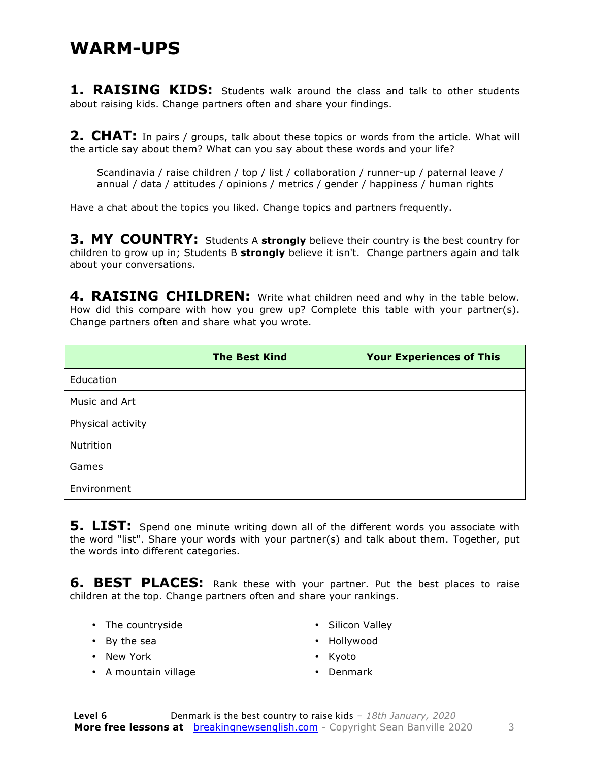#### **WARM-UPS**

**1. RAISING KIDS:** Students walk around the class and talk to other students about raising kids. Change partners often and share your findings.

**2. CHAT:** In pairs / groups, talk about these topics or words from the article. What will the article say about them? What can you say about these words and your life?

Scandinavia / raise children / top / list / collaboration / runner-up / paternal leave / annual / data / attitudes / opinions / metrics / gender / happiness / human rights

Have a chat about the topics you liked. Change topics and partners frequently.

**3. MY COUNTRY:** Students A strongly believe their country is the best country for children to grow up in; Students B **strongly** believe it isn't. Change partners again and talk about your conversations.

**4. RAISING CHILDREN:** Write what children need and why in the table below. How did this compare with how you grew up? Complete this table with your partner(s). Change partners often and share what you wrote.

|                   | <b>The Best Kind</b> | <b>Your Experiences of This</b> |
|-------------------|----------------------|---------------------------------|
| Education         |                      |                                 |
| Music and Art     |                      |                                 |
| Physical activity |                      |                                 |
| Nutrition         |                      |                                 |
| Games             |                      |                                 |
| Environment       |                      |                                 |

**5. LIST:** Spend one minute writing down all of the different words you associate with the word "list". Share your words with your partner(s) and talk about them. Together, put the words into different categories.

**6. BEST PLACES:** Rank these with your partner. Put the best places to raise children at the top. Change partners often and share your rankings.

• The countryside

• Silicon Valley

- By the sea
- New York
- A mountain village
- Hollywood
- Kyoto
- Denmark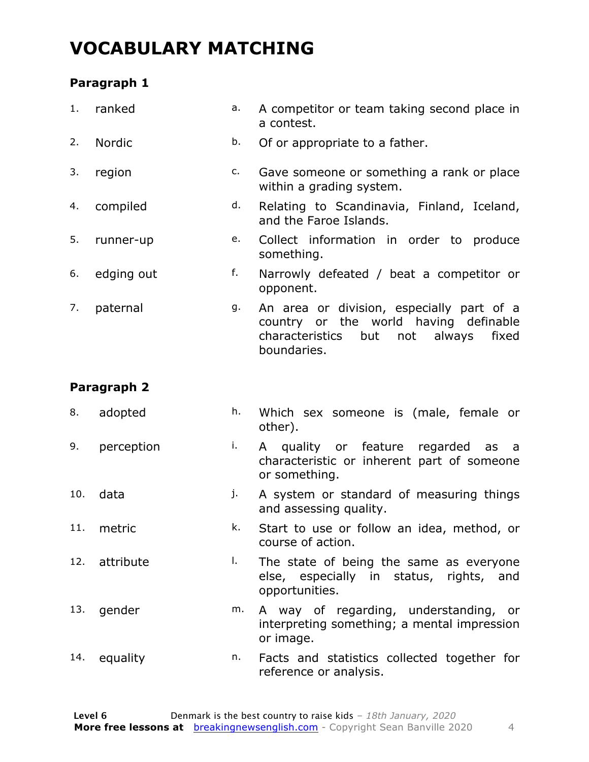### **VOCABULARY MATCHING**

#### **Paragraph 1**

| 1. | ranked        | а. | A competitor or team taking second place in<br>a contest.                                                                                    |  |  |  |
|----|---------------|----|----------------------------------------------------------------------------------------------------------------------------------------------|--|--|--|
| 2. | <b>Nordic</b> | b. | Of or appropriate to a father.                                                                                                               |  |  |  |
| 3. | region        | c. | Gave someone or something a rank or place<br>within a grading system.                                                                        |  |  |  |
| 4. | compiled      | d. | Relating to Scandinavia, Finland, Iceland,<br>and the Faroe Islands.                                                                         |  |  |  |
| 5. | runner-up     | е. | Collect information in order to produce<br>something.                                                                                        |  |  |  |
| 6. | edging out    | f. | Narrowly defeated / beat a competitor or<br>opponent.                                                                                        |  |  |  |
| 7. | paternal      | g. | An area or division, especially part of a<br>country or the world having definable<br>characteristics but not always<br>fixed<br>boundaries. |  |  |  |

#### **Paragraph 2**

| 8.  | adopted       | h. | Which sex someone is (male, female or<br>other).                                                     |
|-----|---------------|----|------------------------------------------------------------------------------------------------------|
| 9.  | perception    | i. | A quality or feature regarded as a<br>characteristic or inherent part of someone<br>or something.    |
| 10. | data          | j. | A system or standard of measuring things<br>and assessing quality.                                   |
| 11. | metric        | k. | Start to use or follow an idea, method, or<br>course of action.                                      |
|     | 12. attribute | Τ. | The state of being the same as everyone<br>else, especially in status, rights, and<br>opportunities. |
| 13. | gender        | m. | A way of regarding, understanding, or<br>interpreting something; a mental impression<br>or image.    |
| 14. | equality      | n. | Facts and statistics collected together for<br>reference or analysis.                                |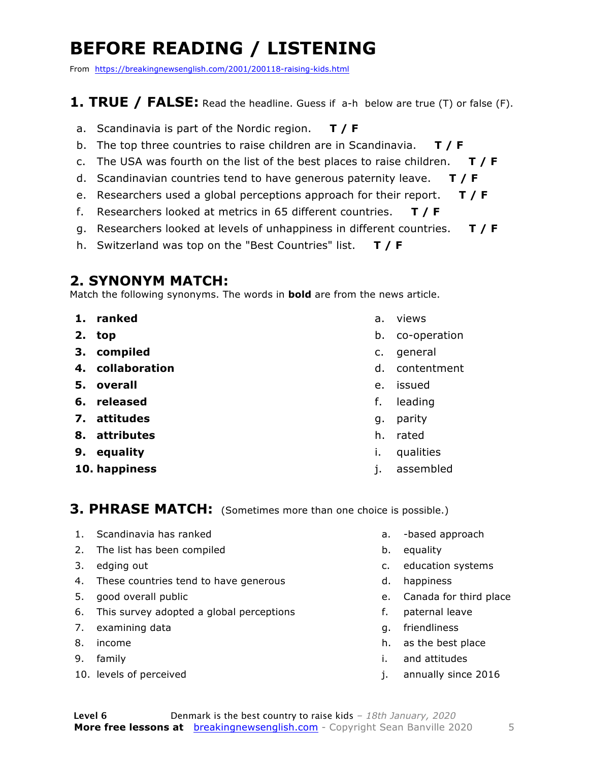### **BEFORE READING / LISTENING**

From https://breakingnewsenglish.com/2001/200118-raising-kids.html

#### **1. TRUE / FALSE:** Read the headline. Guess if a-h below are true (T) or false (F).

- a. Scandinavia is part of the Nordic region. **T / F**
- b. The top three countries to raise children are in Scandinavia. **T / F**
- c. The USA was fourth on the list of the best places to raise children. **T / F**
- d. Scandinavian countries tend to have generous paternity leave. **T / F**
- e. Researchers used a global perceptions approach for their report. **T / F**
- f. Researchers looked at metrics in 65 different countries. **T / F**
- g. Researchers looked at levels of unhappiness in different countries. **T / F**
- h. Switzerland was top on the "Best Countries" list. **T / F**

#### **2. SYNONYM MATCH:**

Match the following synonyms. The words in **bold** are from the news article.

- **1. ranked**
- **2. top**
- **3. compiled**
- **4. collaboration**
- **5. overall**
- **6. released**
- **7. attitudes**
- **8. attributes**
- **9. equality**
- **10. happiness**
- a. views
- b. co-operation
- c. general
- d. contentment
- e. issued
- f. leading
- g. parity
- h. rated
- i. qualities
- j. assembled

#### **3. PHRASE MATCH:** (Sometimes more than one choice is possible.)

- 1. Scandinavia has ranked
- 2. The list has been compiled
- 3. edging out
- 4. These countries tend to have generous
- 5. good overall public
- 6. This survey adopted a global perceptions
- 7. examining data
- 8. income
- 9. family
- 10. levels of perceived
- a. -based approach
- b. equality
- c. education systems
- d. happiness
- e. Canada for third place
- f. paternal leave
- g. friendliness
- h. as the best place
- i. and attitudes
- j. annually since 2016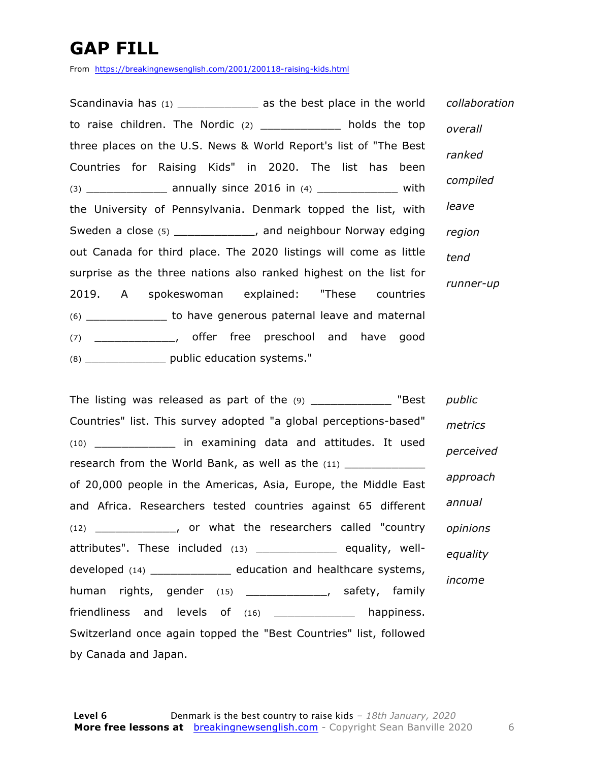### **GAP FILL**

From https://breakingnewsenglish.com/2001/200118-raising-kids.html

Scandinavia has (1) \_\_\_\_\_\_\_\_\_\_\_\_\_\_\_ as the best place in the world to raise children. The Nordic  $(2)$  \_\_\_\_\_\_\_\_\_\_\_ holds the top three places on the U.S. News & World Report's list of "The Best Countries for Raising Kids" in 2020. The list has been  $(3)$  \_\_\_\_\_\_\_\_\_\_\_\_\_\_\_ annually since 2016 in  $(4)$  \_\_\_\_\_\_\_\_\_\_\_\_\_\_\_ with the University of Pennsylvania. Denmark topped the list, with Sweden a close (5) \_\_\_\_\_\_\_\_\_\_\_\_, and neighbour Norway edging out Canada for third place. The 2020 listings will come as little surprise as the three nations also ranked highest on the list for 2019. A spokeswoman explained: "These countries (6) \_\_\_\_\_\_\_\_\_\_\_\_ to have generous paternal leave and maternal (7) \_\_\_\_\_\_\_\_\_\_\_\_, offer free preschool and have good (8) \_\_\_\_\_\_\_\_\_\_\_\_ public education systems." *collaboration overall ranked compiled leave region tend runner-up*

The listing was released as part of the (9) \_\_\_\_\_\_\_\_\_\_\_\_\_\_ "Best Countries" list. This survey adopted "a global perceptions-based" (10) \_\_\_\_\_\_\_\_\_\_\_\_ in examining data and attitudes. It used research from the World Bank, as well as the (11) of 20,000 people in the Americas, Asia, Europe, the Middle East and Africa. Researchers tested countries against 65 different (12) \_\_\_\_\_\_\_\_\_\_\_\_, or what the researchers called "country attributes". These included (13) \_\_\_\_\_\_\_\_\_\_\_\_\_\_\_ equality, welldeveloped (14) \_\_\_\_\_\_\_\_\_\_\_\_ education and healthcare systems, human rights, gender (15) \_\_\_\_\_\_\_\_\_\_\_\_\_\_\_, safety, family friendliness and levels of (16) \_\_\_\_\_\_\_\_\_\_\_\_ happiness. Switzerland once again topped the "Best Countries" list, followed by Canada and Japan. *public metrics perceived approach annual opinions equality income*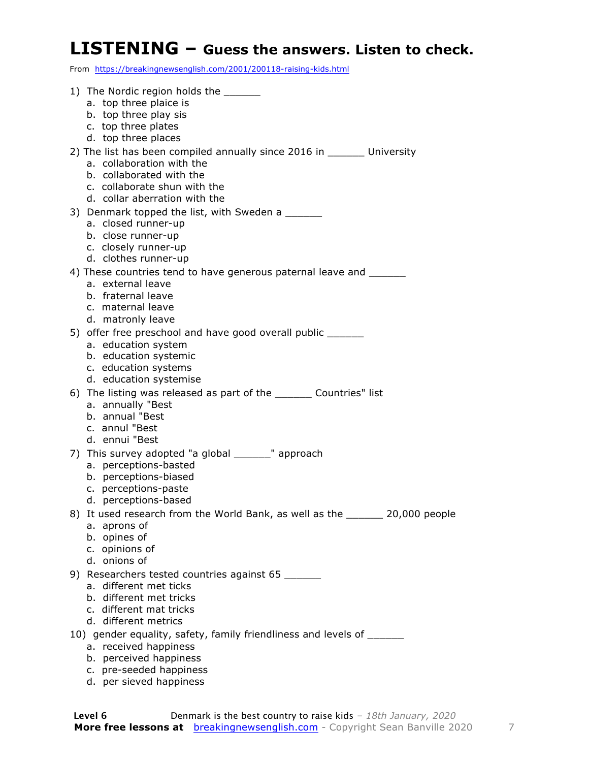#### **LISTENING – Guess the answers. Listen to check.**

From https://breakingnewsenglish.com/2001/200118-raising-kids.html

| 1) The Nordic region holds the ______                                               |
|-------------------------------------------------------------------------------------|
| a. top three plaice is                                                              |
| b. top three play sis<br>c. top three plates                                        |
| d. top three places                                                                 |
| 2) The list has been compiled annually since 2016 in _______ University             |
| a. collaboration with the                                                           |
| b. collaborated with the                                                            |
| c. collaborate shun with the                                                        |
| d. collar aberration with the                                                       |
| 3) Denmark topped the list, with Sweden a ______                                    |
| a. closed runner-up<br>b. close runner-up                                           |
| c. closely runner-up                                                                |
| d. clothes runner-up                                                                |
| 4) These countries tend to have generous paternal leave and                         |
| a. external leave                                                                   |
| b. fraternal leave                                                                  |
| c. maternal leave                                                                   |
| d. matronly leave                                                                   |
| 5) offer free preschool and have good overall public _______<br>a. education system |
| b. education systemic                                                               |
| c. education systems                                                                |
| d. education systemise                                                              |
| 6) The listing was released as part of the _______ Countries" list                  |
| a. annually "Best                                                                   |
| b. annual "Best                                                                     |
| c. annul "Best<br>d. ennui "Best                                                    |
| 7) This survey adopted "a global _______" approach                                  |
| a. perceptions-basted                                                               |
| b. perceptions-biased                                                               |
| c. perceptions-paste                                                                |
| d. perceptions-based                                                                |
| 8) It used research from the World Bank, as well as the _______ 20,000 people       |
| a. aprons of                                                                        |
| b. opines of<br>c. opinions of                                                      |
| d. onions of                                                                        |
| 9) Researchers tested countries against 65 _______                                  |
| a. different met ticks                                                              |
| b. different met tricks                                                             |
| c. different mat tricks                                                             |
| d. different metrics                                                                |
| 10) gender equality, safety, family friendliness and levels of _______              |
| a. received happiness<br>b. perceived happiness                                     |
|                                                                                     |

- c. pre-seeded happiness
- d. per sieved happiness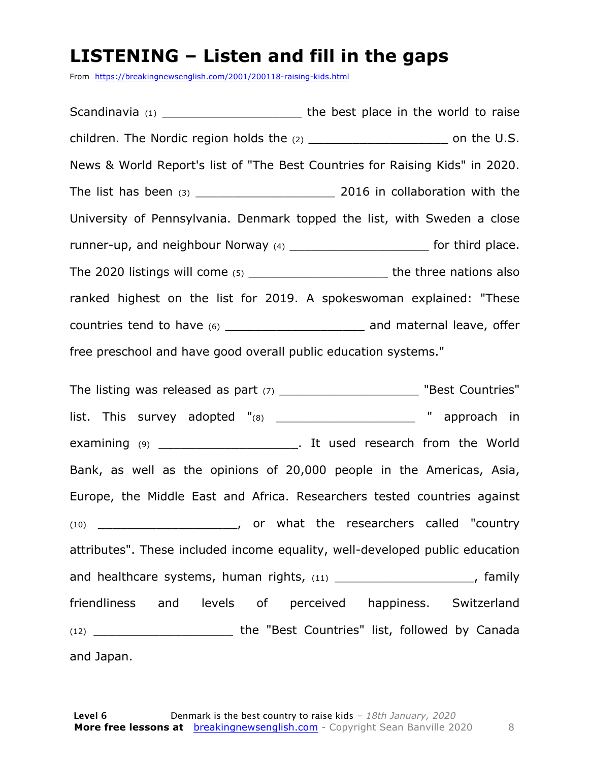#### **LISTENING – Listen and fill in the gaps**

From https://breakingnewsenglish.com/2001/200118-raising-kids.html

Scandinavia (1) \_\_\_\_\_\_\_\_\_\_\_\_\_\_\_\_\_\_\_\_\_\_\_\_\_\_\_ the best place in the world to raise children. The Nordic region holds the (2) \_\_\_\_\_\_\_\_\_\_\_\_\_\_\_\_\_\_\_\_\_\_\_\_\_ on the U.S. News & World Report's list of "The Best Countries for Raising Kids" in 2020. The list has been  $(3)$  and  $(4)$  and  $(5)$  and  $(6)$  and  $(7)$  and  $(8)$  and  $(8)$  and  $(9)$  and  $(10)$  and  $(2016)$  in collaboration with the University of Pennsylvania. Denmark topped the list, with Sweden a close runner-up, and neighbour Norway (4) Tunner-up, and neighbour Norway (4) The 2020 listings will come (5) The 2020 listings will come (5) ranked highest on the list for 2019. A spokeswoman explained: "These countries tend to have (6) countries tend to have (6) free preschool and have good overall public education systems."

The listing was released as part (7) \_\_\_\_\_\_\_\_\_\_\_\_\_\_\_\_\_\_\_\_\_\_\_\_ "Best Countries" list. This survey adopted "(8) \_\_\_\_\_\_\_\_\_\_\_\_\_\_\_\_\_\_\_\_\_\_ " approach in examining (9) examining (9) and the World in the World is a second that the World Bank, as well as the opinions of 20,000 people in the Americas, Asia, Europe, the Middle East and Africa. Researchers tested countries against (10) \_\_\_\_\_\_\_\_\_\_\_\_\_\_\_\_\_\_\_, or what the researchers called "country attributes". These included income equality, well-developed public education and healthcare systems, human rights,  $(11)$  \_\_\_\_\_\_\_\_\_\_\_\_\_\_\_\_\_\_\_\_\_, family friendliness and levels of perceived happiness. Switzerland (12) \_\_\_\_\_\_\_\_\_\_\_\_\_\_\_\_\_\_\_ the "Best Countries" list, followed by Canada and Japan.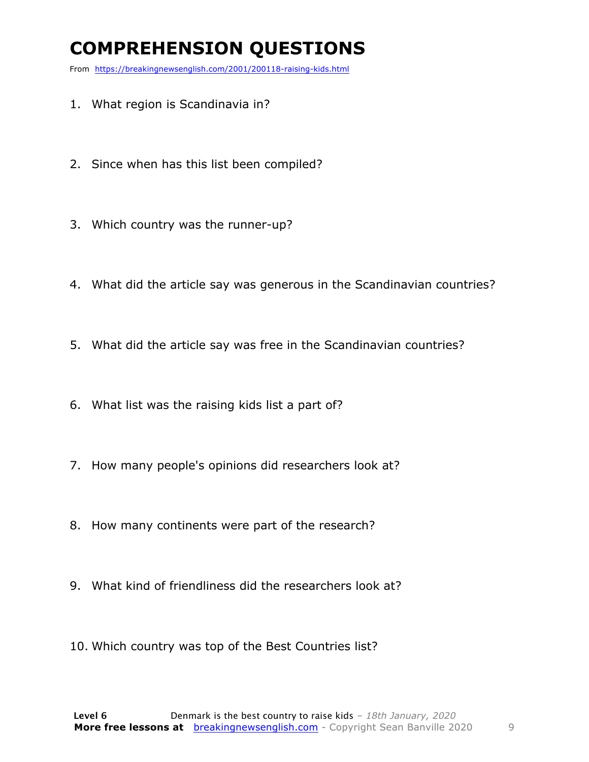### **COMPREHENSION QUESTIONS**

From https://breakingnewsenglish.com/2001/200118-raising-kids.html

- 1. What region is Scandinavia in?
- 2. Since when has this list been compiled?
- 3. Which country was the runner-up?
- 4. What did the article say was generous in the Scandinavian countries?
- 5. What did the article say was free in the Scandinavian countries?
- 6. What list was the raising kids list a part of?
- 7. How many people's opinions did researchers look at?
- 8. How many continents were part of the research?
- 9. What kind of friendliness did the researchers look at?
- 10. Which country was top of the Best Countries list?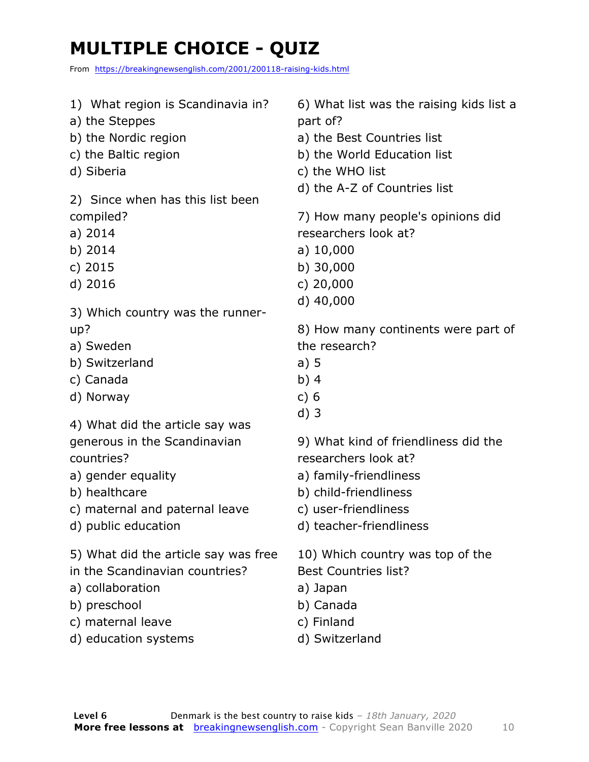### **MULTIPLE CHOICE - QUIZ**

From https://breakingnewsenglish.com/2001/200118-raising-kids.html

- 1) What region is Scandinavia in?
- a) the Steppes
- b) the Nordic region
- c) the Baltic region
- d) Siberia

2) Since when has this list been compiled?

- a) 2014
- b) 2014
- c) 2015
- d) 2016
- 3) Which country was the runnerup?
- a) Sweden
- b) Switzerland
- c) Canada
- d) Norway

4) What did the article say was generous in the Scandinavian countries?

- a) gender equality
- b) healthcare
- c) maternal and paternal leave
- d) public education
- 5) What did the article say was free
- in the Scandinavian countries?
- a) collaboration
- b) preschool
- c) maternal leave
- d) education systems

6) What list was the raising kids list a part of?

- a) the Best Countries list
- b) the World Education list
- c) the WHO list
- d) the A-Z of Countries list

7) How many people's opinions did researchers look at?

- a) 10,000
- b) 30,000
- c) 20,000
- d) 40,000

8) How many continents were part of the research?

- a) 5
- b) 4
- c) 6
- d) 3

9) What kind of friendliness did the researchers look at?

- a) family-friendliness
- b) child-friendliness
- c) user-friendliness
- d) teacher-friendliness

10) Which country was top of the Best Countries list?

- a) Japan
- b) Canada
- c) Finland
- d) Switzerland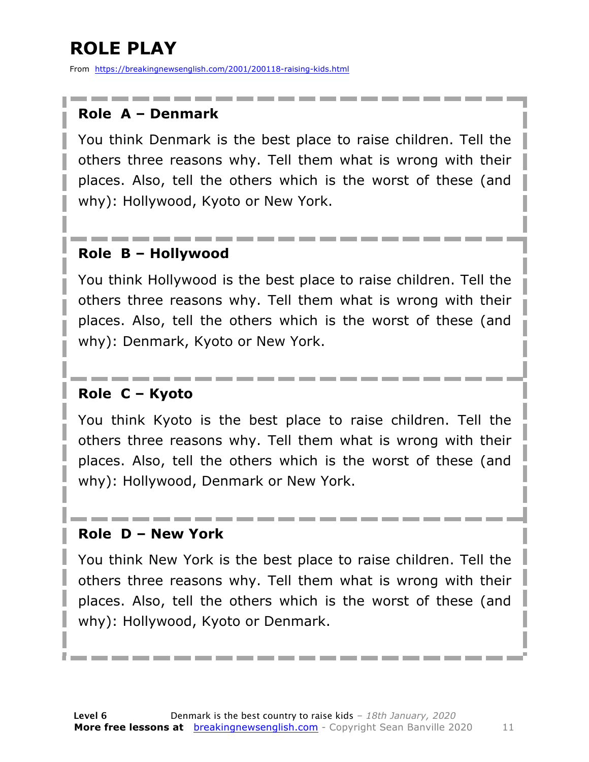### **ROLE PLAY**

From https://breakingnewsenglish.com/2001/200118-raising-kids.html

#### **Role A – Denmark**

You think Denmark is the best place to raise children. Tell the others three reasons why. Tell them what is wrong with their places. Also, tell the others which is the worst of these (and why): Hollywood, Kyoto or New York.

#### **Role B – Hollywood**

You think Hollywood is the best place to raise children. Tell the others three reasons why. Tell them what is wrong with their places. Also, tell the others which is the worst of these (and why): Denmark, Kyoto or New York.

#### **Role C – Kyoto**

You think Kyoto is the best place to raise children. Tell the others three reasons why. Tell them what is wrong with their places. Also, tell the others which is the worst of these (and why): Hollywood, Denmark or New York.

#### **Role D – New York**

You think New York is the best place to raise children. Tell the others three reasons why. Tell them what is wrong with their places. Also, tell the others which is the worst of these (and why): Hollywood, Kyoto or Denmark.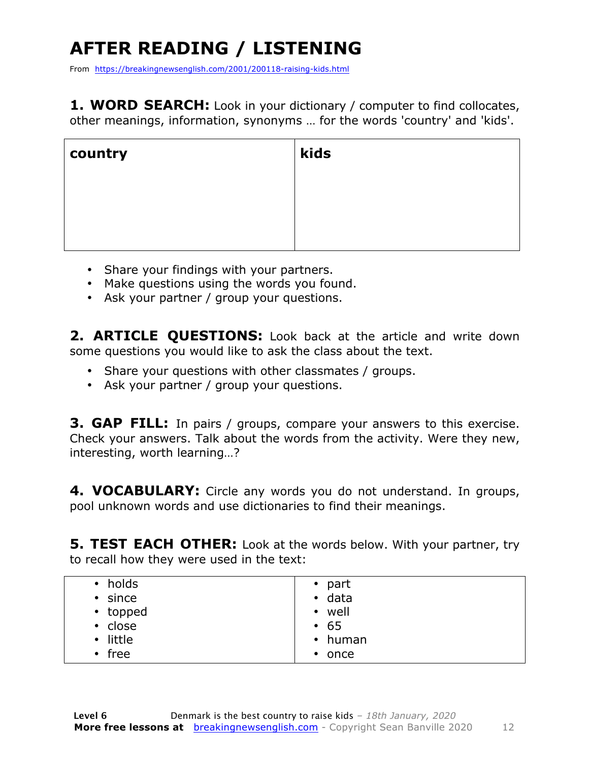## **AFTER READING / LISTENING**

From https://breakingnewsenglish.com/2001/200118-raising-kids.html

**1. WORD SEARCH:** Look in your dictionary / computer to find collocates, other meanings, information, synonyms … for the words 'country' and 'kids'.

| country | kids |
|---------|------|
|         |      |
|         |      |
|         |      |

- Share your findings with your partners.
- Make questions using the words you found.
- Ask your partner / group your questions.

2. **ARTICLE OUESTIONS:** Look back at the article and write down some questions you would like to ask the class about the text.

- Share your questions with other classmates / groups.
- Ask your partner / group your questions.

**3. GAP FILL:** In pairs / groups, compare your answers to this exercise. Check your answers. Talk about the words from the activity. Were they new, interesting, worth learning…?

**4. VOCABULARY:** Circle any words you do not understand. In groups, pool unknown words and use dictionaries to find their meanings.

**5. TEST EACH OTHER:** Look at the words below. With your partner, try to recall how they were used in the text:

| holds<br>$\bullet$  | $\bullet$ part    |
|---------------------|-------------------|
| since<br>$\bullet$  | $\bullet$ data    |
| • topped            | well<br>$\bullet$ |
| • close             | • 65              |
| little<br>$\bullet$ | $\cdot$ human     |
| free<br>$\bullet$   | $\bullet$ once    |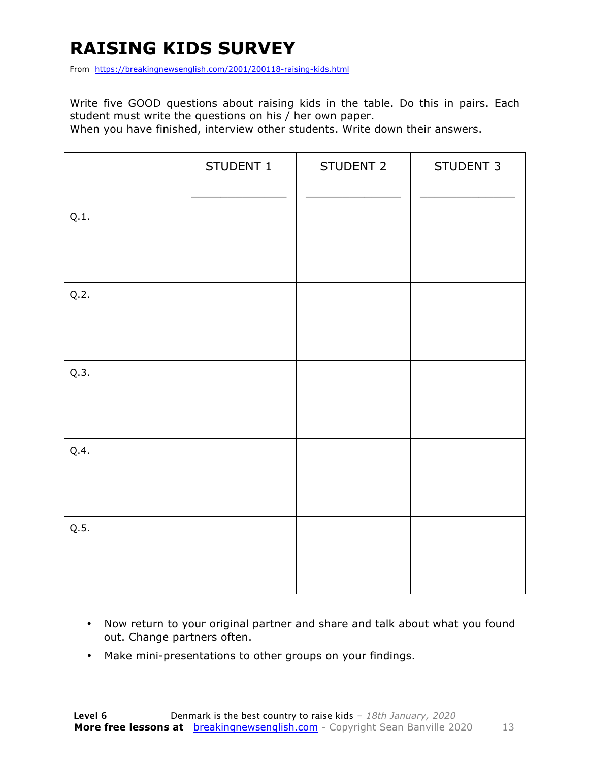### **RAISING KIDS SURVEY**

From https://breakingnewsenglish.com/2001/200118-raising-kids.html

Write five GOOD questions about raising kids in the table. Do this in pairs. Each student must write the questions on his / her own paper.

When you have finished, interview other students. Write down their answers.

|      | STUDENT 1 | STUDENT 2 | STUDENT 3 |
|------|-----------|-----------|-----------|
| Q.1. |           |           |           |
| Q.2. |           |           |           |
| Q.3. |           |           |           |
| Q.4. |           |           |           |
| Q.5. |           |           |           |

- Now return to your original partner and share and talk about what you found out. Change partners often.
- Make mini-presentations to other groups on your findings.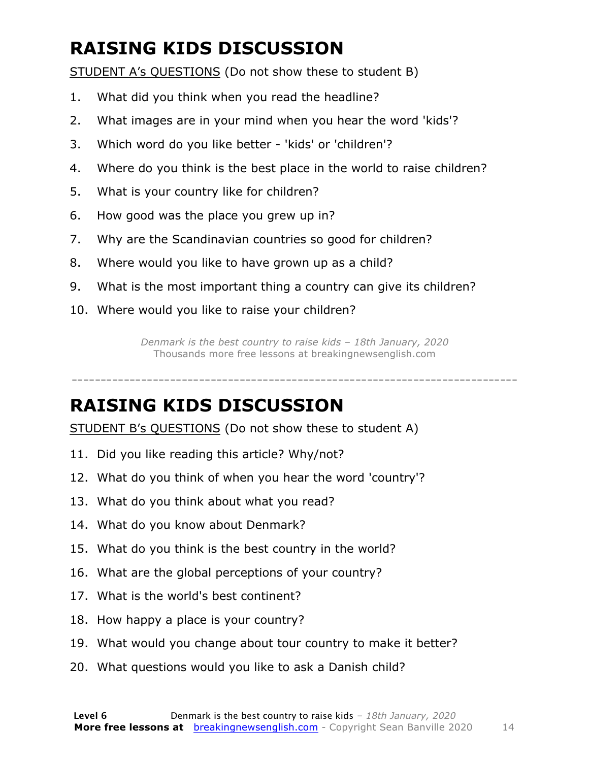### **RAISING KIDS DISCUSSION**

STUDENT A's QUESTIONS (Do not show these to student B)

- 1. What did you think when you read the headline?
- 2. What images are in your mind when you hear the word 'kids'?
- 3. Which word do you like better 'kids' or 'children'?
- 4. Where do you think is the best place in the world to raise children?
- 5. What is your country like for children?
- 6. How good was the place you grew up in?
- 7. Why are the Scandinavian countries so good for children?
- 8. Where would you like to have grown up as a child?
- 9. What is the most important thing a country can give its children?
- 10. Where would you like to raise your children?

*Denmark is the best country to raise kids – 18th January, 2020* Thousands more free lessons at breakingnewsenglish.com

### **RAISING KIDS DISCUSSION**

STUDENT B's QUESTIONS (Do not show these to student A)

- 11. Did you like reading this article? Why/not?
- 12. What do you think of when you hear the word 'country'?
- 13. What do you think about what you read?
- 14. What do you know about Denmark?
- 15. What do you think is the best country in the world?
- 16. What are the global perceptions of your country?
- 17. What is the world's best continent?
- 18. How happy a place is your country?
- 19. What would you change about tour country to make it better?
- 20. What questions would you like to ask a Danish child?

-----------------------------------------------------------------------------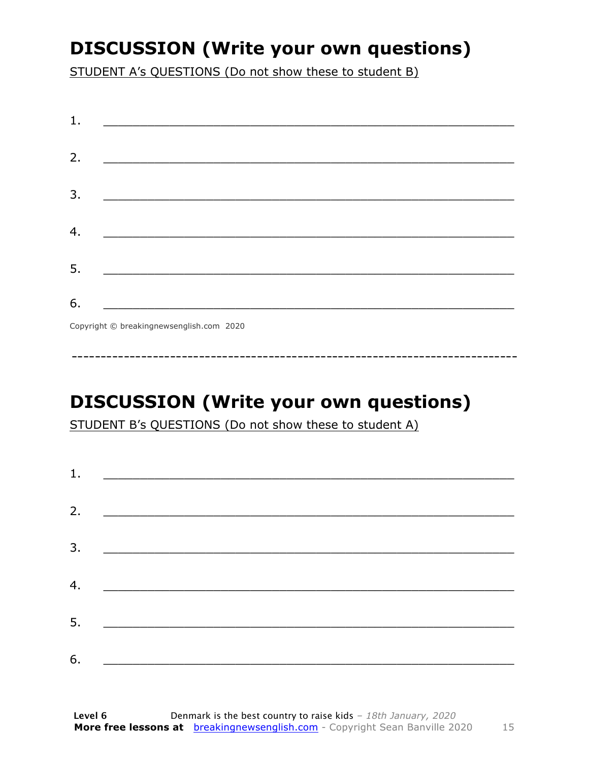### **DISCUSSION (Write your own questions)**

STUDENT A's QUESTIONS (Do not show these to student B)

| 1. |                                                                                                                          |
|----|--------------------------------------------------------------------------------------------------------------------------|
|    |                                                                                                                          |
| 2. | <u> 1989 - Johann John Stone, mars et al. (b. 1989)</u>                                                                  |
| 3. | <u> 1980 - Johann John Stone, mensk politik (d. 1980)</u>                                                                |
|    |                                                                                                                          |
| 4. |                                                                                                                          |
| 5. | <u> 1980 - Johann John Stone, markin fan it fjort fan it fjort fan it fjort fan it fjort fan it fjort fan it fjort f</u> |
|    |                                                                                                                          |
| 6. | <u> 1989 - Johann Barbara, martxa alemani</u> ar arte                                                                    |
|    | $Convriath \odot hraskinanawsanalich com 2020$                                                                           |

Copyright © breakingnewsenglish.com 2020

### **DISCUSSION (Write your own questions)**

STUDENT B's QUESTIONS (Do not show these to student A)

| 1. |                                                                                                                         |  |  |
|----|-------------------------------------------------------------------------------------------------------------------------|--|--|
|    |                                                                                                                         |  |  |
| 2. | <u> 1980 - Andrea Stationer, fransk politiker (d. 1980)</u>                                                             |  |  |
| 3. |                                                                                                                         |  |  |
|    |                                                                                                                         |  |  |
| 4. | <u> 1980 - Jan Samuel Barbara, margaret eta idazlea (h. 1980).</u>                                                      |  |  |
| 5. | <u> 1986 - Johann Stoff, deutscher Stoffen und der Stoffen und der Stoffen und der Stoffen und der Stoffen und der </u> |  |  |
|    |                                                                                                                         |  |  |
| 6. | <u> 1989 - Johann John Stone, market fan it ferskearre fan it ferskearre fan it ferskearre fan it ferskearre fan i</u>  |  |  |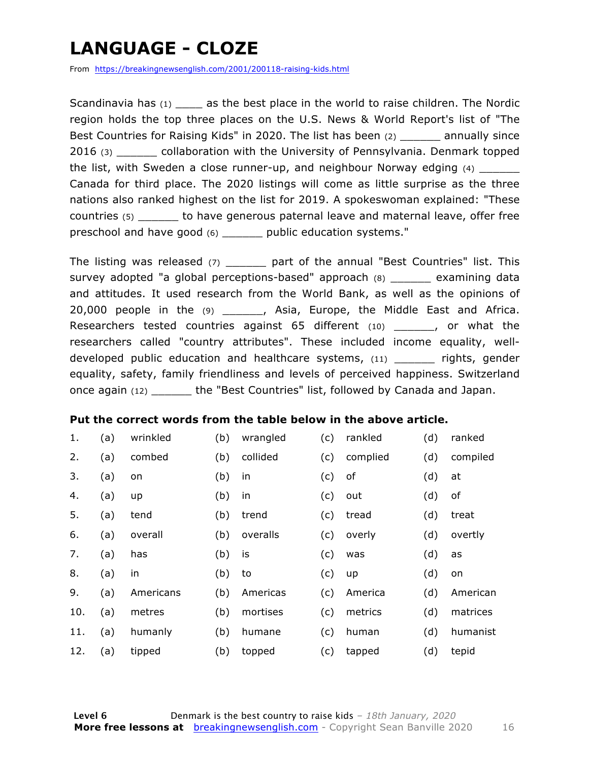### **LANGUAGE - CLOZE**

From https://breakingnewsenglish.com/2001/200118-raising-kids.html

Scandinavia has  $(1)$  as the best place in the world to raise children. The Nordic region holds the top three places on the U.S. News & World Report's list of "The Best Countries for Raising Kids" in 2020. The list has been (2) annually since 2016 (3) collaboration with the University of Pennsylvania. Denmark topped the list, with Sweden a close runner-up, and neighbour Norway edging (4) Canada for third place. The 2020 listings will come as little surprise as the three nations also ranked highest on the list for 2019. A spokeswoman explained: "These countries (5) \_\_\_\_\_\_ to have generous paternal leave and maternal leave, offer free preschool and have good (6) \_\_\_\_\_\_ public education systems."

The listing was released  $(7)$  part of the annual "Best Countries" list. This survey adopted "a global perceptions-based" approach (8) \_\_\_\_\_\_ examining data and attitudes. It used research from the World Bank, as well as the opinions of 20,000 people in the (9) \_\_\_\_\_\_, Asia, Europe, the Middle East and Africa. Researchers tested countries against 65 different (10) \_\_\_\_\_\_, or what the researchers called "country attributes". These included income equality, welldeveloped public education and healthcare systems, (11) \_\_\_\_\_\_ rights, gender equality, safety, family friendliness and levels of perceived happiness. Switzerland once again (12) \_\_\_\_\_\_ the "Best Countries" list, followed by Canada and Japan.

#### **Put the correct words from the table below in the above article.**

| 1.  | (a) | wrinkled  | (b) | wrangled | (c) | rankled  | (d) | ranked   |
|-----|-----|-----------|-----|----------|-----|----------|-----|----------|
| 2.  | (a) | combed    | (b) | collided | (c) | complied | (d) | compiled |
| 3.  | (a) | on        | (b) | in       | (c) | оf       | (d) | at       |
| 4.  | (a) | up        | (b) | in       | (c) | out      | (d) | оf       |
| 5.  | (a) | tend      | (b) | trend    | (c) | tread    | (d) | treat    |
| 6.  | (a) | overall   | (b) | overalls | (c) | overly   | (d) | overtly  |
| 7.  | (a) | has       | (b) | is       | (c) | was      | (d) | as       |
| 8.  | (a) | in        | (b) | to       | (c) | up       | (d) | on       |
| 9.  | (a) | Americans | (b) | Americas | (c) | America  | (d) | American |
| 10. | (a) | metres    | (b) | mortises | (c) | metrics  | (d) | matrices |
| 11. | (a) | humanly   | (b) | humane   | (c) | human    | (d) | humanist |
| 12. | (a) | tipped    | (b) | topped   | (c) | tapped   | (d) | tepid    |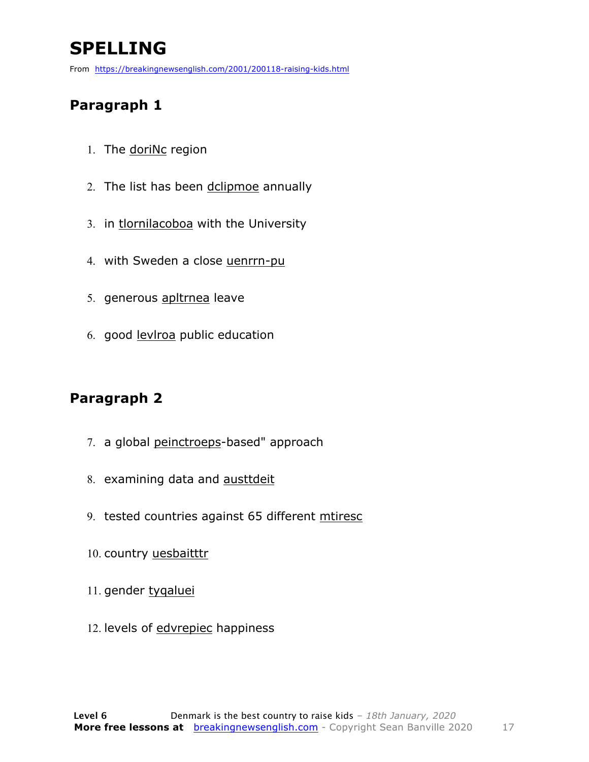### **SPELLING**

From https://breakingnewsenglish.com/2001/200118-raising-kids.html

#### **Paragraph 1**

- 1. The doriNc region
- 2. The list has been dclipmoe annually
- 3. in tlornilacoboa with the University
- 4. with Sweden a close uenrrn-pu
- 5. generous apltrnea leave
- 6. good levlroa public education

#### **Paragraph 2**

- 7. a global peinctroeps-based" approach
- 8. examining data and austtdeit
- 9. tested countries against 65 different mtiresc
- 10. country uesbaitttr
- 11. gender tygaluei
- 12. levels of edvrepiec happiness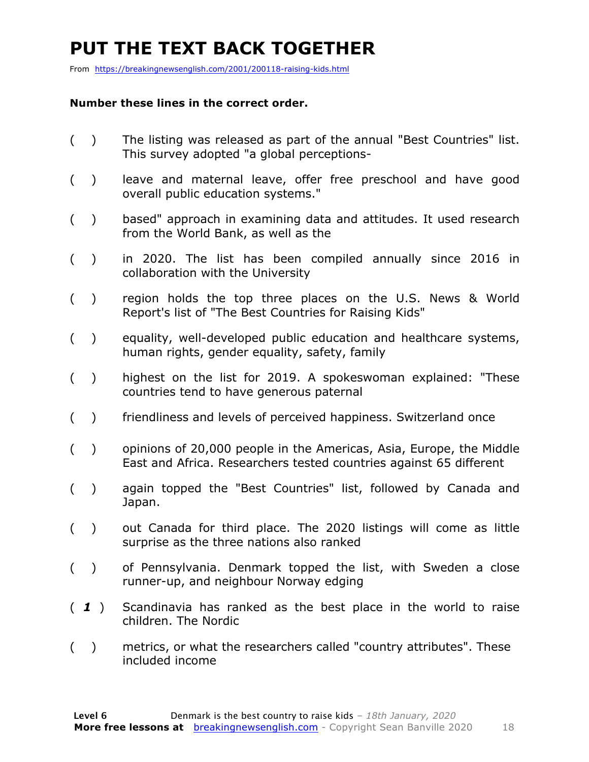### **PUT THE TEXT BACK TOGETHER**

From https://breakingnewsenglish.com/2001/200118-raising-kids.html

#### **Number these lines in the correct order.**

- ( ) The listing was released as part of the annual "Best Countries" list. This survey adopted "a global perceptions-
- ( ) leave and maternal leave, offer free preschool and have good overall public education systems."
- ( ) based" approach in examining data and attitudes. It used research from the World Bank, as well as the
- ( ) in 2020. The list has been compiled annually since 2016 in collaboration with the University
- ( ) region holds the top three places on the U.S. News & World Report's list of "The Best Countries for Raising Kids"
- ( ) equality, well-developed public education and healthcare systems, human rights, gender equality, safety, family
- ( ) highest on the list for 2019. A spokeswoman explained: "These countries tend to have generous paternal
- ( ) friendliness and levels of perceived happiness. Switzerland once
- ( ) opinions of 20,000 people in the Americas, Asia, Europe, the Middle East and Africa. Researchers tested countries against 65 different
- ( ) again topped the "Best Countries" list, followed by Canada and Japan.
- ( ) out Canada for third place. The 2020 listings will come as little surprise as the three nations also ranked
- ( ) of Pennsylvania. Denmark topped the list, with Sweden a close runner-up, and neighbour Norway edging
- ( *1* ) Scandinavia has ranked as the best place in the world to raise children. The Nordic
- ( ) metrics, or what the researchers called "country attributes". These included income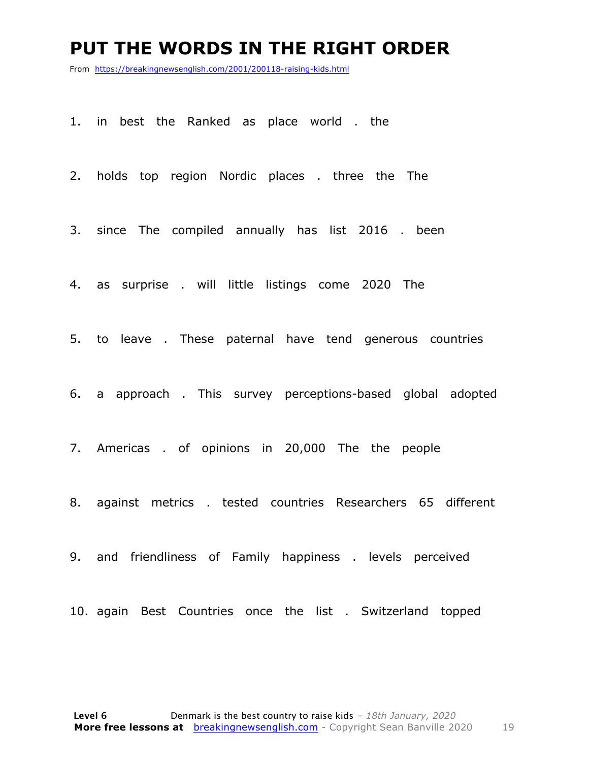#### **PUT THE WORDS IN THE RIGHT ORDER**

From https://breakingnewsenglish.com/2001/200118-raising-kids.html

1. in best the Ranked as place world . the

2. holds top region Nordic places . three the The

3. since The compiled annually has list 2016 . been

4. as surprise . will little listings come 2020 The

5. to leave . These paternal have tend generous countries

6. a approach . This survey perceptions-based global adopted

7. Americas . of opinions in 20,000 The the people

8. against metrics . tested countries Researchers 65 different

9. and friendliness of Family happiness . levels perceived

10. again Best Countries once the list . Switzerland topped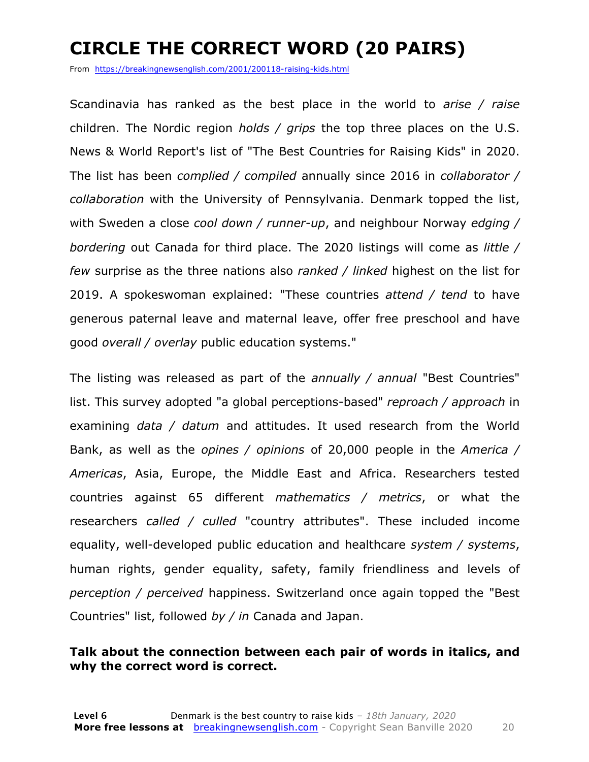### **CIRCLE THE CORRECT WORD (20 PAIRS)**

From https://breakingnewsenglish.com/2001/200118-raising-kids.html

Scandinavia has ranked as the best place in the world to *arise / raise* children. The Nordic region *holds / grips* the top three places on the U.S. News & World Report's list of "The Best Countries for Raising Kids" in 2020. The list has been *complied / compiled* annually since 2016 in *collaborator / collaboration* with the University of Pennsylvania. Denmark topped the list, with Sweden a close *cool down / runner-up*, and neighbour Norway *edging / bordering* out Canada for third place. The 2020 listings will come as *little / few* surprise as the three nations also *ranked / linked* highest on the list for 2019. A spokeswoman explained: "These countries *attend / tend* to have generous paternal leave and maternal leave, offer free preschool and have good *overall / overlay* public education systems."

The listing was released as part of the *annually / annual* "Best Countries" list. This survey adopted "a global perceptions-based" *reproach / approach* in examining *data / datum* and attitudes. It used research from the World Bank, as well as the *opines / opinions* of 20,000 people in the *America / Americas*, Asia, Europe, the Middle East and Africa. Researchers tested countries against 65 different *mathematics / metrics*, or what the researchers *called / culled* "country attributes". These included income equality, well-developed public education and healthcare *system / systems*, human rights, gender equality, safety, family friendliness and levels of *perception / perceived* happiness. Switzerland once again topped the "Best Countries" list, followed *by / in* Canada and Japan.

#### **Talk about the connection between each pair of words in italics, and why the correct word is correct.**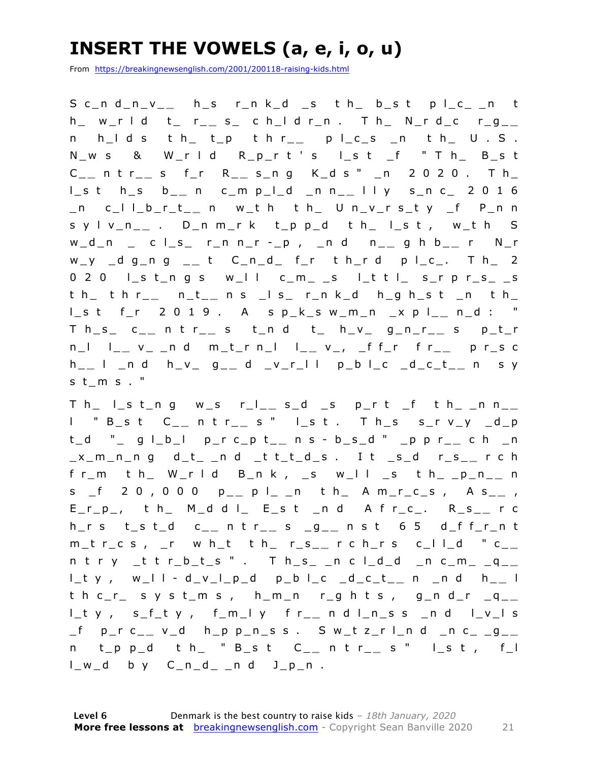### **INSERT THE VOWELS (a, e, i, o, u)**

From https://breakingnewsenglish.com/2001/200118-raising-kids.html

S c\_n d\_n\_v\_\_ h\_s r\_n k\_d \_s t h\_ b\_s t p l\_c\_ \_n t h \_ w \_ r l d t \_ r \_ **\_** s \_ c h \_ l d r \_ n . T h \_ N \_ r d \_ c r \_ g \_ **\_**  n h \_ l d s t h \_ t \_ p t h r \_ \_ p l \_ c \_ s \_ n t h \_ U . S . N \_ w s & W \_ r l d R \_ p \_ r t ' s l \_ s t \_ f " T h \_ B \_ s t C \_ **\_** n t r \_ **\_** s f \_ r R \_ **\_** s \_ n g K \_ d s " \_ n 2 0 2 0 . T h \_ l \_ s t h \_ s b \_ **\_** n c \_ m p \_ l \_ d \_ n n \_ **\_** l l y s \_ n c \_ 2 0 1 6 \_ n c \_ l l \_ b \_ r \_ t \_ **\_** n w \_ t h t h \_ U n \_ v \_ r s \_ t y \_ f P \_ n n s y l v \_ n \_ **\_** . D \_ n m \_ r k t \_ p p \_ d t h \_ l \_ s t , w \_ t h S w \_ d \_ n \_ c l \_ s \_ r \_ n n \_ r - \_ p , \_ n d n \_ **\_** g h b \_ **\_** r N \_ r w y d g n g \_ t C n d f r t h r d p l c . T h 2  $0 2 0$  lst\_ngs w\_ll c\_m\_ \_s l\_ttl\_ s\_rpr\_s\_ \_s t h\_t h r\_\_ n\_t\_\_ n s \_l s\_ r\_n k\_d h\_g h\_s t \_n t h\_ l \_ s t f \_ r 2 0 1 9 . A s p \_ k \_ s w \_ m \_ n \_ x p l \_ **\_** n \_ d : " T h \_ s \_ c \_ **\_** n t r \_ **\_** s t \_ n d t \_ h \_ v \_ g \_ n \_ r \_ **\_** s p \_ t \_ r n \_l l \_ \_ v \_ \_n d m \_t \_r n \_l l \_ \_ v \_ , \_f f \_r f r \_ \_ p r \_s c h \_ **\_** l \_ n d h \_ v \_ g \_ **\_** d \_ v \_ r \_ l l p \_ b l \_ c \_ d \_ c \_ t \_ **\_** n s y st  $m s$ . "

T h \_ l \_ s t \_ n g w \_ s r \_l \_ \_ s \_ d \_ s p \_ r t \_ f t h \_ \_ n n \_ \_ l " B \_ s t C \_ **\_** n t r \_ **\_** s " l \_ s t . T h \_ s s \_ r v \_ y \_ d \_ p t\_d "\_ g l\_b\_l p\_r c\_p t\_\_ n s - b\_s\_d " \_p p r\_\_ c h \_n \_ x \_ m \_ n \_ n g d \_ t \_ \_ n d \_ t t \_ t \_ d \_ s . I t \_ s \_ d r \_ s \_ **\_** r c h f r\_m t h\_ W\_r l d B\_n k , \_s w\_l l \_s t h\_ \_p\_n\_\_ n s \_f 2 0 , 0 0 0 p\_\_ p l\_ \_n t h\_ A m\_r\_c\_s , A s\_\_ , E \_ r \_ p \_ , t h \_ M \_ d d l \_ E \_ s t \_ n d A f r \_ c \_ . R \_ s \_ **\_** r c h \_ r s t \_ s t \_ d c \_ **\_** n t r \_ **\_** s \_ g \_ **\_** n s t 6 5 d \_ f f \_ r \_ n t m\_t r\_c s , \_r w h\_t t h\_ r\_s\_\_ r c h\_r s c\_l l\_d " c\_\_  $n$  t r  $y$  \_t t r\_b\_t\_s " . T h\_s\_ \_n c l\_d\_d \_n c\_m \_ q\_\_ l \_ t y , w \_ l l - d \_ v \_ l \_ p \_ d p \_ b l \_ c \_ d \_ c \_ t \_ **\_** n \_ n d h \_ **\_** l  $th$  c  $r_{-}$  syst  $m$  s, h  $m_{-}$ n r ghts, g  $n$  d  $r_{-}$ q  $_{-}$ l\_t y, s\_f\_t y, f\_m\_l y f r\_\_ n d l\_n\_s s \_n d l\_v\_l s \_ f p \_ r c \_ **\_** v \_ d h \_ p p \_ n \_ s s . S w \_ t z \_ r l \_ n d \_ n c \_ \_ g \_ **\_**  n t \_ p p \_ d t h \_ " B \_ s t C \_ **\_** n t r \_ **\_** s " l \_ s t , f \_ l  $l_w_d$  by  $C_n_d$  nd  $J_p$ n.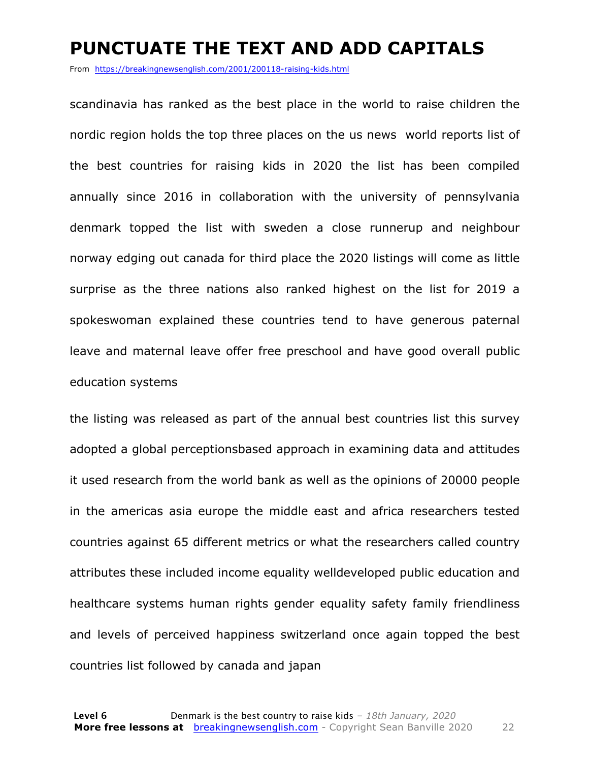#### **PUNCTUATE THE TEXT AND ADD CAPITALS**

From https://breakingnewsenglish.com/2001/200118-raising-kids.html

scandinavia has ranked as the best place in the world to raise children the nordic region holds the top three places on the us news world reports list of the best countries for raising kids in 2020 the list has been compiled annually since 2016 in collaboration with the university of pennsylvania denmark topped the list with sweden a close runnerup and neighbour norway edging out canada for third place the 2020 listings will come as little surprise as the three nations also ranked highest on the list for 2019 a spokeswoman explained these countries tend to have generous paternal leave and maternal leave offer free preschool and have good overall public education systems

the listing was released as part of the annual best countries list this survey adopted a global perceptionsbased approach in examining data and attitudes it used research from the world bank as well as the opinions of 20000 people in the americas asia europe the middle east and africa researchers tested countries against 65 different metrics or what the researchers called country attributes these included income equality welldeveloped public education and healthcare systems human rights gender equality safety family friendliness and levels of perceived happiness switzerland once again topped the best countries list followed by canada and japan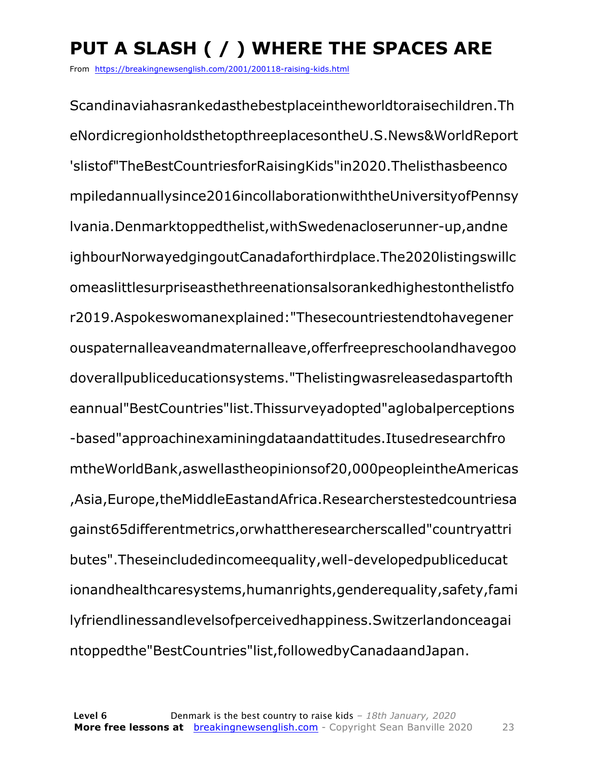### **PUT A SLASH ( / ) WHERE THE SPACES ARE**

From https://breakingnewsenglish.com/2001/200118-raising-kids.html

Scandinaviahasrankedasthebestplaceintheworldtoraisechildren.Th eNordicregionholdsthetopthreeplacesontheU.S.News&WorldReport 'slistof"TheBestCountriesforRaisingKids"in2020.Thelisthasbeenco mpiledannuallysince2016incollaborationwiththeUniversityofPennsy lvania.Denmarktoppedthelist,withSwedenacloserunner-up,andne ighbourNorwayedgingoutCanadaforthirdplace.The2020listingswillc omeaslittlesurpriseasthethreenationsalsorankedhighestonthelistfo r2019.Aspokeswomanexplained:"Thesecountriestendtohavegener ouspaternalleaveandmaternalleave,offerfreepreschoolandhavegoo doverallpubliceducationsystems."Thelistingwasreleasedaspartofth eannual"BestCountries"list.Thissurveyadopted"aglobalperceptions -based"approachinexaminingdataandattitudes.Itusedresearchfro mtheWorldBank,aswellastheopinionsof20,000peopleintheAmericas ,Asia,Europe,theMiddleEastandAfrica.Researcherstestedcountriesa gainst65differentmetrics,orwhattheresearcherscalled"countryattri butes".Theseincludedincomeequality,well-developedpubliceducat ionandhealthcaresystems,humanrights,genderequality,safety,fami lyfriendlinessandlevelsofperceivedhappiness.Switzerlandonceagai ntoppedthe"BestCountries"list,followedbyCanadaandJapan.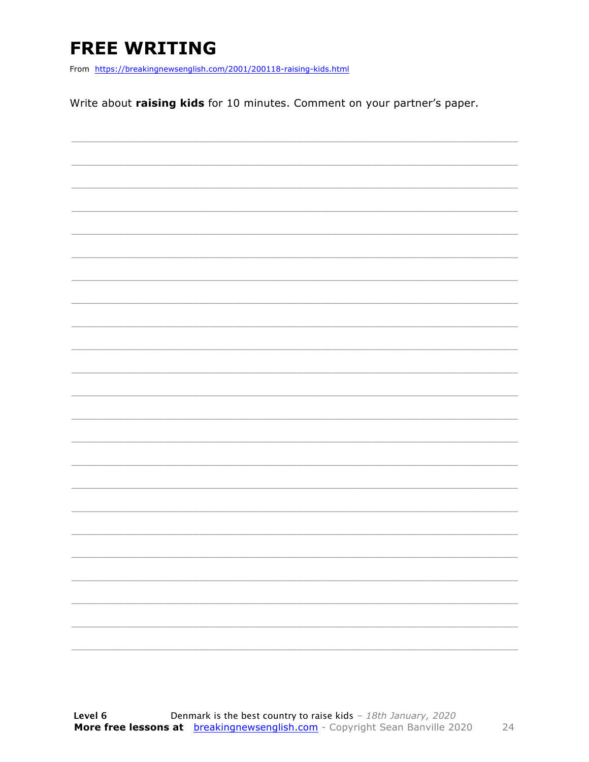### **FREE WRITING**

From https://breakingnewsenglish.com/2001/200118-raising-kids.html

Write about raising kids for 10 minutes. Comment on your partner's paper.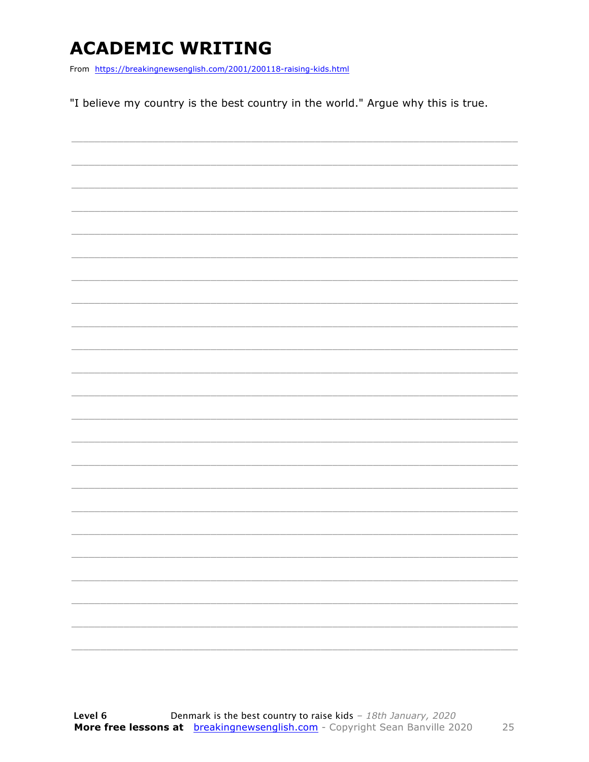### **ACADEMIC WRITING**

From https://breakingnewsenglish.com/2001/200118-raising-kids.html

"I believe my country is the best country in the world." Argue why this is true.

|  | -                        |
|--|--------------------------|
|  | $\overline{\phantom{0}}$ |
|  |                          |
|  |                          |
|  |                          |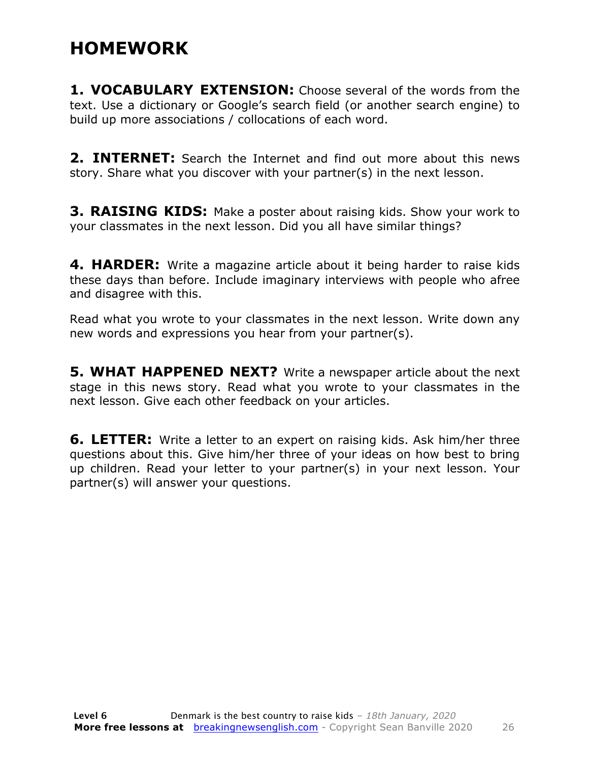#### **HOMEWORK**

**1. VOCABULARY EXTENSION:** Choose several of the words from the text. Use a dictionary or Google's search field (or another search engine) to build up more associations / collocations of each word.

**2. INTERNET:** Search the Internet and find out more about this news story. Share what you discover with your partner(s) in the next lesson.

**3. RAISING KIDS:** Make a poster about raising kids. Show your work to your classmates in the next lesson. Did you all have similar things?

**4. HARDER:** Write a magazine article about it being harder to raise kids these days than before. Include imaginary interviews with people who afree and disagree with this.

Read what you wrote to your classmates in the next lesson. Write down any new words and expressions you hear from your partner(s).

**5. WHAT HAPPENED NEXT?** Write a newspaper article about the next stage in this news story. Read what you wrote to your classmates in the next lesson. Give each other feedback on your articles.

**6. LETTER:** Write a letter to an expert on raising kids. Ask him/her three questions about this. Give him/her three of your ideas on how best to bring up children. Read your letter to your partner(s) in your next lesson. Your partner(s) will answer your questions.